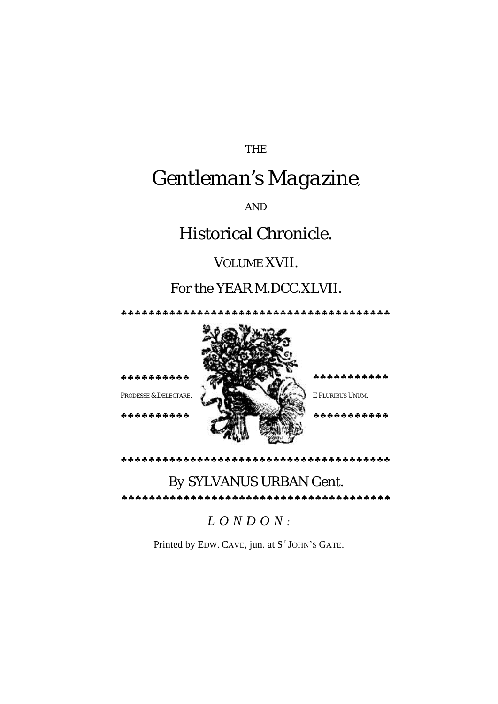THE

# *Gentleman's Magazine,*

AND

## Historical Chronicle.

### VOLUME XVII.

### For the YEAR M.DCC.XLVII.

♣♣♣♣♣♣♣♣♣♣♣♣♣♣♣♣♣♣♣♣♣♣♣♣♣♣♣♣♣♣♣♣♣♣♣♣♣♣♣

♣♣♣♣♣♣♣♣♣♣ ♣♣♣♣♣♣♣♣♣♣♣

♣♣♣♣♣♣♣♣♣♣ ♣♣♣♣♣♣♣♣♣♣♣



♣♣♣♣♣♣♣♣♣♣♣♣♣♣♣♣♣♣♣♣♣♣♣♣♣♣♣♣♣♣♣♣♣♣♣♣♣♣♣

#### *By* SYLVANUS URBAN Gent. ♣♣♣♣♣♣♣♣♣♣♣♣♣♣♣♣♣♣♣♣♣♣♣♣♣♣♣♣♣♣♣♣♣♣♣♣♣♣♣

*LONDON :*

Printed by EDW. CAVE, jun. at  $S<sup>T</sup>$  JOHN'S GATE.